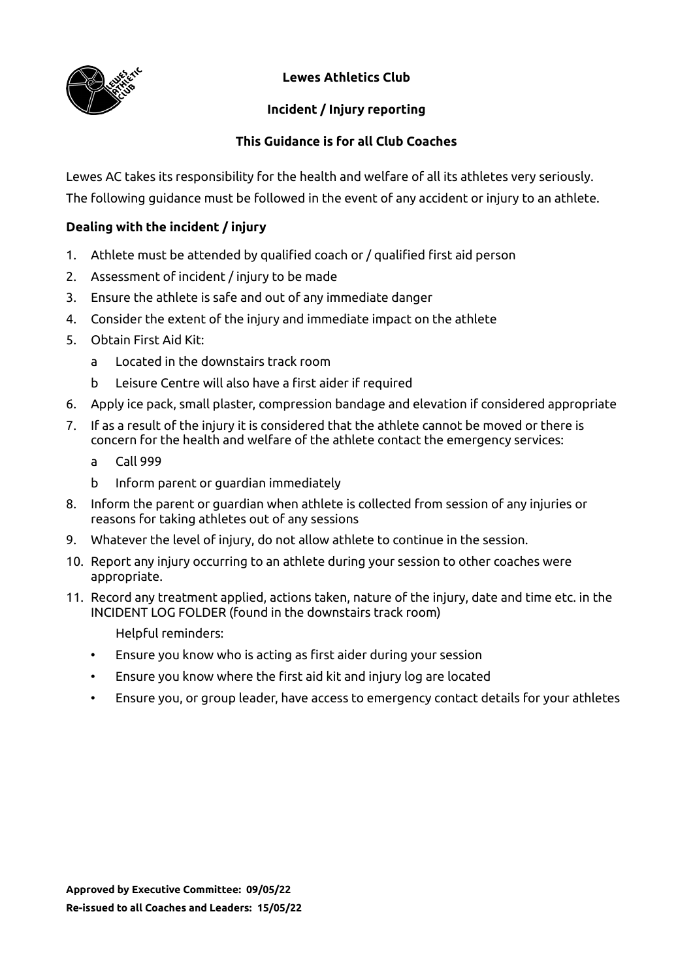

**Lewes Athletics Club**

## **Incident / Injury reporting**

## **This Guidance is for all Club Coaches**

Lewes AC takes its responsibility for the health and welfare of all its athletes very seriously. The following guidance must be followed in the event of any accident or injury to an athlete.

### **Dealing with the incident / injury**

- 1. Athlete must be attended by qualified coach or / qualified first aid person
- 2. Assessment of incident / injury to be made
- 3. Ensure the athlete is safe and out of any immediate danger
- 4. Consider the extent of the injury and immediate impact on the athlete
- 5. Obtain First Aid Kit:
	- a Located in the downstairs track room
	- b Leisure Centre will also have a first aider if required
- 6. Apply ice pack, small plaster, compression bandage and elevation if considered appropriate
- 7. If as a result of the injury it is considered that the athlete cannot be moved or there is concern for the health and welfare of the athlete contact the emergency services:
	- a Call 999
	- b Inform parent or guardian immediately
- 8. Inform the parent or guardian when athlete is collected from session of any injuries or reasons for taking athletes out of any sessions
- 9. Whatever the level of injury, do not allow athlete to continue in the session.
- 10. Report any injury occurring to an athlete during your session to other coaches were appropriate.
- 11. Record any treatment applied, actions taken, nature of the injury, date and time etc. in the INCIDENT LOG FOLDER (found in the downstairs track room)
	- Helpful reminders:
	- Ensure you know who is acting as first aider during your session
	- Ensure you know where the first aid kit and injury log are located
	- Ensure you, or group leader, have access to emergency contact details for your athletes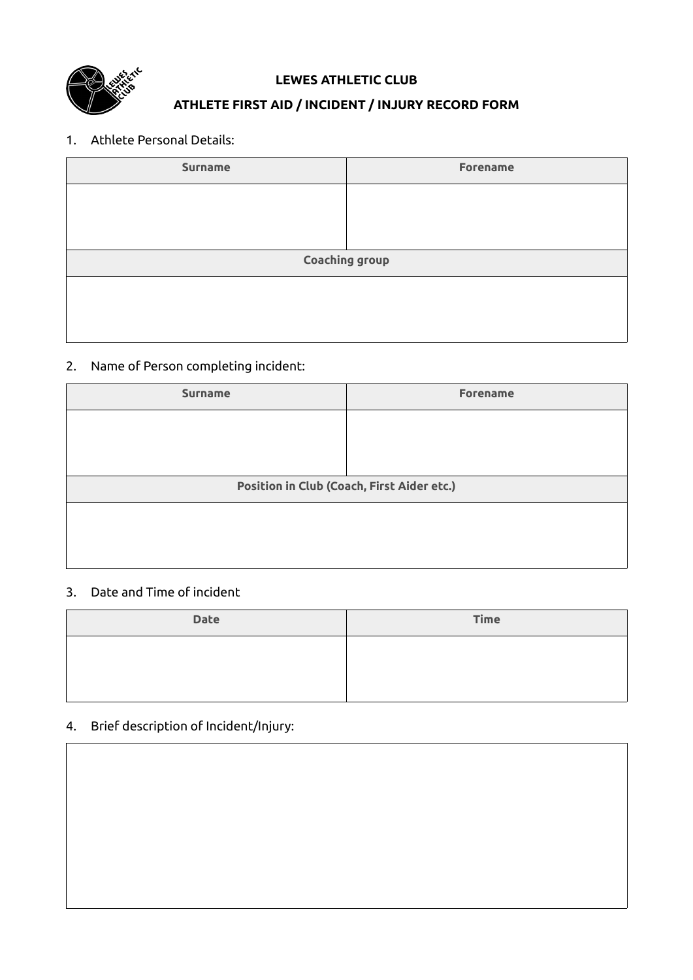

#### **LEWES ATHLETIC CLUB**

### **ATHLETE FIRST AID / INCIDENT / INJURY RECORD FORM**

#### 1. Athlete Personal Details:

| <b>Forename</b> |  |  |  |  |  |  |  |
|-----------------|--|--|--|--|--|--|--|
|                 |  |  |  |  |  |  |  |
|                 |  |  |  |  |  |  |  |
|                 |  |  |  |  |  |  |  |
| Coaching group  |  |  |  |  |  |  |  |
|                 |  |  |  |  |  |  |  |
|                 |  |  |  |  |  |  |  |
|                 |  |  |  |  |  |  |  |
|                 |  |  |  |  |  |  |  |

## 2. Name of Person completing incident:

| <b>Surname</b>                             | <b>Forename</b> |  |  |  |  |  |  |
|--------------------------------------------|-----------------|--|--|--|--|--|--|
|                                            |                 |  |  |  |  |  |  |
|                                            |                 |  |  |  |  |  |  |
|                                            |                 |  |  |  |  |  |  |
| Position in Club (Coach, First Aider etc.) |                 |  |  |  |  |  |  |
|                                            |                 |  |  |  |  |  |  |
|                                            |                 |  |  |  |  |  |  |
|                                            |                 |  |  |  |  |  |  |

#### 3. Date and Time of incident

| <b>Date</b> | <b>Time</b> |
|-------------|-------------|
|             |             |
|             |             |

# 4. Brief description of Incident/Injury: